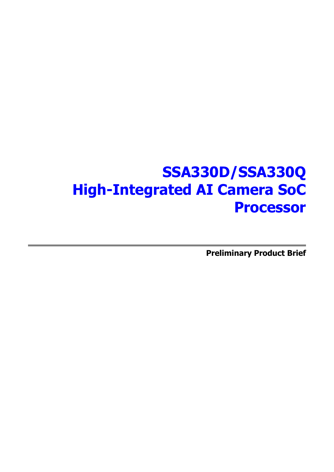# **SSA330D/SSA330Q High-Integrated AI Camera SoC Processor**

**Preliminary Product Brief**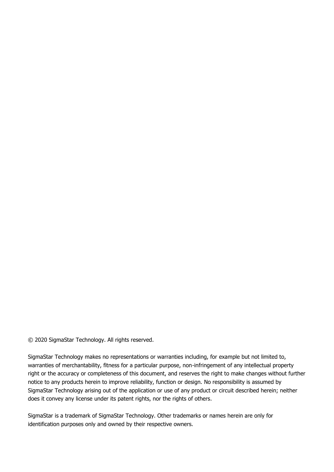© 2020 SigmaStar Technology. All rights reserved.

SigmaStar Technology makes no representations or warranties including, for example but not limited to, warranties of merchantability, fitness for a particular purpose, non-infringement of any intellectual property right or the accuracy or completeness of this document, and reserves the right to make changes without further notice to any products herein to improve reliability, function or design. No responsibility is assumed by SigmaStar Technology arising out of the application or use of any product or circuit described herein; neither does it convey any license under its patent rights, nor the rights of others.

SigmaStar is a trademark of SigmaStar Technology. Other trademarks or names herein are only for identification purposes only and owned by their respective owners.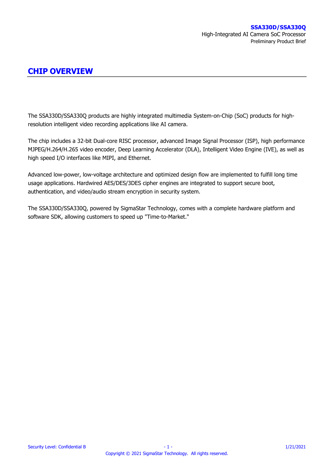## **CHIP OVERVIEW**

The SSA330D/SSA330Q products are highly integrated multimedia System-on-Chip (SoC) products for highresolution intelligent video recording applications like AI camera.

The chip includes a 32-bit Dual-core RISC processor, advanced Image Signal Processor (ISP), high performance MJPEG/H.264/H.265 video encoder, Deep Learning Accelerator (DLA), Intelligent Video Engine (IVE), as well as high speed I/O interfaces like MIPI, and Ethernet.

Advanced low-power, low-voltage architecture and optimized design flow are implemented to fulfill long time usage applications. Hardwired AES/DES/3DES cipher engines are integrated to support secure boot, authentication, and video/audio stream encryption in security system.

The SSA330D/SSA330Q, powered by SigmaStar Technology, comes with a complete hardware platform and software SDK, allowing customers to speed up "Time-to-Market."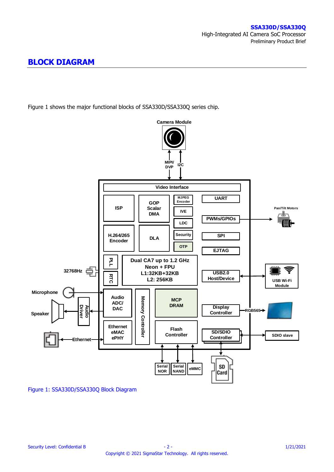## **BLOCK DIAGRAM**

[Figure 1](#page-3-0) shows the major functional blocks of SSA330D/SSA330Q series chip.



<span id="page-3-0"></span>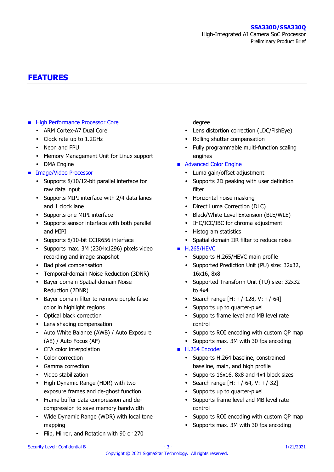## **FEATURES**

### **High Performance Processor Core**

- ARM Cortex-A7 Dual Core
- Clock rate up to 1.2GHz
- Neon and FPU
- Memory Management Unit for Linux support
- DMA Engine
- **Image/Video Processor** 
	- Supports 8/10/12-bit parallel interface for raw data input
	- Supports MIPI interface with 2/4 data lanes and 1 clock lane
	- Supports one MIPI interface
	- Supports sensor interface with both parallel and MIPI
	- Supports 8/10-bit CCIR656 interface
	- Supports max. 3M (2304x1296) pixels video recording and image snapshot
	- Bad pixel compensation
	- Temporal-domain Noise Reduction (3DNR)
	- Bayer domain Spatial-domain Noise Reduction (2DNR)
	- Bayer domain filter to remove purple false color in highlight regions
	- Optical black correction
	- Lens shading compensation
	- Auto White Balance (AWB) / Auto Exposure (AE) / Auto Focus (AF)
	- CFA color interpolation
	- Color correction
	- Gamma correction
	- Video stabilization
	- High Dynamic Range (HDR) with two exposure frames and de-ghost function
	- Frame buffer data compression and decompression to save memory bandwidth
	- Wide Dynamic Range (WDR) with local tone mapping
	- Flip, Mirror, and Rotation with 90 or 270

#### degree

- Lens distortion correction (LDC/FishEye)
- Rolling shutter compensation
- Fully programmable multi-function scaling engines
- **Advanced Color Engine** 
	- Luma gain/offset adjustment
	- Supports 2D peaking with user definition filter
	- Horizontal noise masking
	- Direct Luma Correction (DLC)
	- Black/White Level Extension (BLE/WLE)
	- IHC/ICC/IBC for chroma adjustment
	- Histogram statistics
	- Spatial domain IIR filter to reduce noise
- **H.265/HEVC** 
	- Supports H.265/HEVC main profile
	- Supported Prediction Unit (PU) size: 32x32, 16x16, 8x8
	- Supported Transform Unit (TU) size: 32x32 to 4x4
	- Search range  $[H: +/-128, V: +/-64]$
	- Supports up to quarter-pixel
	- Supports frame level and MB level rate control
	- Supports ROI encoding with custom QP map
	- Supports max. 3M with 30 fps encoding
- H.264 Encoder
	- Supports H.264 baseline, constrained baseline, main, and high profile
	- Supports 16x16, 8x8 and 4x4 block sizes
	- Search range [H:  $+/-64$ , V:  $+/-32$ ]
	- Supports up to quarter-pixel
	- Supports frame level and MB level rate control
	- Supports ROI encoding with custom QP map
	- Supports max. 3M with 30 fps encoding